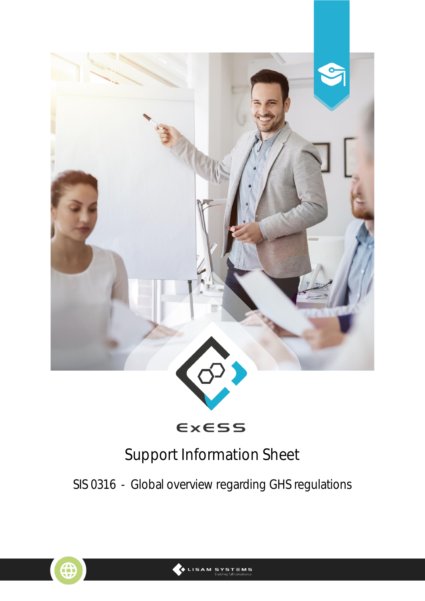

ExESS

# Support Information Sheet

SIS 0316 - Global overview regarding GHS regulations



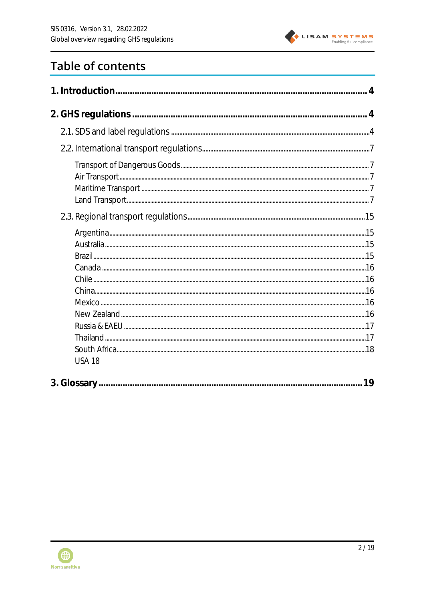

## **Table of contents**

| <b>USA 18</b> |    |
|---------------|----|
|               | 19 |

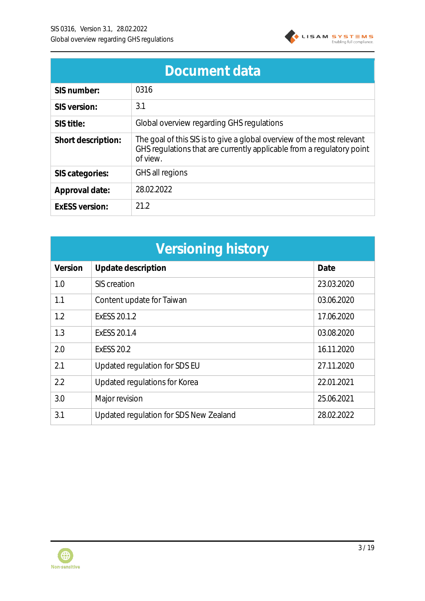

| Document data      |                                                                                                                                                             |  |  |  |  |  |
|--------------------|-------------------------------------------------------------------------------------------------------------------------------------------------------------|--|--|--|--|--|
| SIS number:        | 0316                                                                                                                                                        |  |  |  |  |  |
| SIS version:       | 3.1                                                                                                                                                         |  |  |  |  |  |
| SIS title:         | Global overview regarding GHS regulations                                                                                                                   |  |  |  |  |  |
| Short description: | The goal of this SIS is to give a global overview of the most relevant<br>GHS regulations that are currently applicable from a regulatory point<br>of view. |  |  |  |  |  |
| SIS categories:    | GHS all regions                                                                                                                                             |  |  |  |  |  |
| Approval date:     | 28.02.2022                                                                                                                                                  |  |  |  |  |  |
| ExESS version:     | 21.2                                                                                                                                                        |  |  |  |  |  |

| Versioning history |                                        |            |  |  |  |  |  |
|--------------------|----------------------------------------|------------|--|--|--|--|--|
| Version            | Update description                     | Date       |  |  |  |  |  |
| 1.0                | SIS creation                           | 23.03.2020 |  |  |  |  |  |
| 1.1                | Content update for Taiwan              | 03.06.2020 |  |  |  |  |  |
| 1.2                | ExESS 20.1.2                           | 17.06.2020 |  |  |  |  |  |
| 1.3                | ExESS 20.1.4                           | 03.08.2020 |  |  |  |  |  |
| 2.0                | <b>ExESS 20.2</b>                      | 16.11.2020 |  |  |  |  |  |
| 2.1                | Updated regulation for SDS EU          | 27.11.2020 |  |  |  |  |  |
| 2.2                | Updated regulations for Korea          | 22.01.2021 |  |  |  |  |  |
| 3.0                | Major revision                         | 25.06.2021 |  |  |  |  |  |
| 3.1                | Updated regulation for SDS New Zealand | 28.02.2022 |  |  |  |  |  |

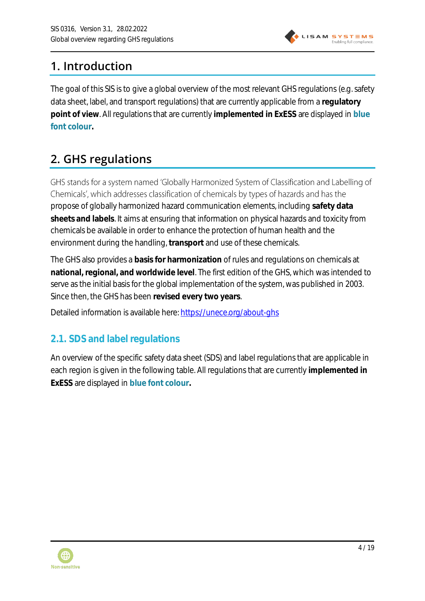

## <span id="page-3-0"></span>**1. Introduction**

The goal of this SIS is to give a global overview of the most relevant GHS regulations (e.g. safety data sheet, label, and transport regulations) that are currently applicable from a **regulatory point of view**. All regulations that are currently **implemented in ExESS** are displayed in **blue font colour.**

## <span id="page-3-1"></span>**2. GHS regulations**

GHS stands for a system named 'Globally Harmonized System of Classification and Labelling of Chemicals', which addresses classification of chemicals by types of hazards and has the propose of globally harmonized hazard communication elements, including **safety data sheets and labels**. It aims at ensuring that information on physical hazards and toxicity from chemicals be available in order to enhance the protection of human health and the environment during the handling, **transport** and use of these chemicals.

The GHS also provides a **basis for harmonization** of rules and regulations on chemicals at **national, regional, and worldwide level**. The first edition of the GHS, which was intended to serve as the initial basis for the global implementation of the system, was published in 2003. Since then, the GHS has been **revised every two years**.

Detailed information is available here:<https://unece.org/about-ghs>

### <span id="page-3-2"></span>**2.1. SDS and label regulations**

An overview of the specific safety data sheet (SDS) and label regulations that are applicable in each region is given in the following table. All regulations that are currently **implemented in ExESS** are displayed in **blue font colour.**

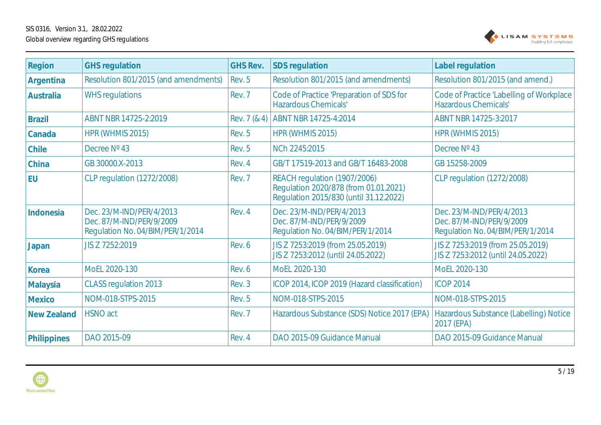

| Region        | <b>GHS regulation</b>                                                                    | GHS Rev.     | SDS regulation                                                                                                  | Label regulation                                                                         |
|---------------|------------------------------------------------------------------------------------------|--------------|-----------------------------------------------------------------------------------------------------------------|------------------------------------------------------------------------------------------|
| Argentina     | Resolution 801/2015 (and amendments)                                                     | Rev. 5       | Resolution 801/2015 (and amendments)                                                                            | Resolution 801/2015 (and amend.)                                                         |
| Australia     | <b>WHS regulations</b>                                                                   | Rev. 7       | Code of Practice 'Preparation of SDS for<br>Hazardous Chemicals'                                                | Code of Practice 'Labelling of Workplace<br>Hazardous Chemicals'                         |
| <b>Brazil</b> | ABNT NBR 14725-2:2019                                                                    | Rev. 7 (& 4) | ABNT NBR 14725-4:2014                                                                                           | ABNT NBR 14725-3:2017                                                                    |
| Canada        | HPR (WHMIS 2015)                                                                         | Rev. 5       | HPR (WHMIS 2015)                                                                                                | HPR (WHMIS 2015)                                                                         |
| Chile         | Decree Nº 43                                                                             | Rev. 5       | NCh 2245:2015                                                                                                   | Decree Nº 43                                                                             |
| China         | GB 30000.X-2013                                                                          | Rev. 4       | GB/T 17519-2013 and GB/T 16483-2008                                                                             | GB 15258-2009                                                                            |
| <b>EU</b>     | <b>CLP regulation (1272/2008)</b>                                                        | Rev. 7       | REACH regulation (1907/2006)<br>Regulation 2020/878 (from 01.01.2021)<br>Regulation 2015/830 (until 31.12.2022) | <b>CLP regulation (1272/2008)</b>                                                        |
| Indonesia     | Dec. 23/M-IND/PER/4/2013<br>Dec. 87/M-IND/PER/9/2009<br>Regulation No. 04/BIM/PER/1/2014 | Rev. 4       | Dec. 23/M-IND/PER/4/2013<br>Dec. 87/M-IND/PER/9/2009<br>Regulation No. 04/BIM/PER/1/2014                        | Dec. 23/M-IND/PER/4/2013<br>Dec. 87/M-IND/PER/9/2009<br>Regulation No. 04/BIM/PER/1/2014 |
| Japan         | JIS Z 7252:2019                                                                          | Rev. 6       | JIS Z 7253:2019 (from 25.05.2019)<br>JIS Z 7253:2012 (until 24.05.2022)                                         | JIS Z 7253:2019 (from 25.05.2019)<br>JIS Z 7253:2012 (until 24.05.2022)                  |
| Korea         | MoEL 2020-130                                                                            | Rev. 6       | MoEL 2020-130                                                                                                   | MoEL 2020-130                                                                            |
| Malaysia      | <b>CLASS regulation 2013</b>                                                             | Rev. 3       | ICOP 2014, ICOP 2019 (Hazard classification)                                                                    | <b>ICOP 2014</b>                                                                         |
| Mexico        | NOM-018-STPS-2015                                                                        | Rev. 5       | NOM-018-STPS-2015                                                                                               | NOM-018-STPS-2015                                                                        |
| New Zealand   | <b>HSNO</b> act                                                                          | Rev. 7       | Hazardous Substance (SDS) Notice 2017 (EPA)                                                                     | Hazardous Substance (Labelling) Notice<br>2017 (EPA)                                     |
| Philippines   | DAO 2015-09                                                                              | Rev. 4       | DAO 2015-09 Guidance Manual                                                                                     | DAO 2015-09 Guidance Manual                                                              |

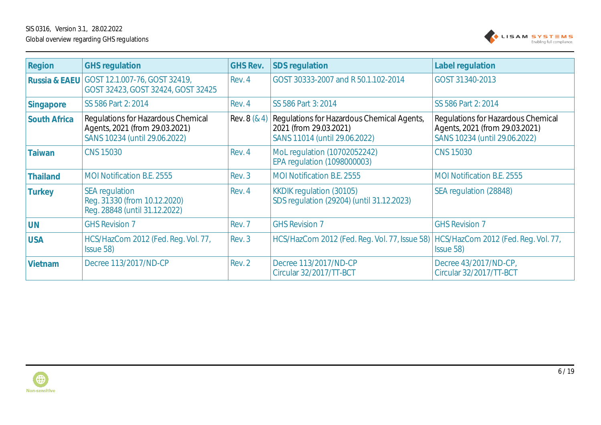

| Region                   | <b>GHS regulation</b>                                                                                 | <b>GHS Rev.</b> | SDS regulation                                                                                        | Label regulation                                                                                      |
|--------------------------|-------------------------------------------------------------------------------------------------------|-----------------|-------------------------------------------------------------------------------------------------------|-------------------------------------------------------------------------------------------------------|
| <b>Russia &amp; EAEU</b> | GOST 12.1.007-76, GOST 32419,<br>GOST 32423, GOST 32424, GOST 32425                                   | Rev. 4          | GOST 30333-2007 and R 50.1.102-2014                                                                   | GOST 31340-2013                                                                                       |
| Singapore                | SS 586 Part 2: 2014                                                                                   | Rev. 4          | SS 586 Part 3: 2014                                                                                   | SS 586 Part 2: 2014                                                                                   |
| South Africa             | Regulations for Hazardous Chemical<br>Agents, 2021 (from 29.03.2021)<br>SANS 10234 (until 29.06.2022) | Rev. 8 (& 4)    | Regulations for Hazardous Chemical Agents,<br>2021 (from 29.03.2021)<br>SANS 11014 (until 29.06.2022) | Regulations for Hazardous Chemical<br>Agents, 2021 (from 29.03.2021)<br>SANS 10234 (until 29.06.2022) |
| Taiwan                   | <b>CNS 15030</b>                                                                                      | Rev. 4          | MoL regulation (10702052242)<br><b>EPA regulation (1098000003)</b>                                    | <b>CNS 15030</b>                                                                                      |
| Thailand                 | <b>MOI Notification B.E. 2555</b>                                                                     | Rev. 3          | <b>MOI Notification B.E. 2555</b>                                                                     | <b>MOI Notification B.E. 2555</b>                                                                     |
| Turkey                   | <b>SEA</b> regulation<br>Reg. 31330 (from 10.12.2020)<br>Reg. 28848 (until 31.12.2022)                | Rev. 4          | <b>KKDIK regulation (30105)</b><br>SDS regulation (29204) (until 31.12.2023)                          | SEA regulation (28848)                                                                                |
| <b>UN</b>                | <b>GHS Revision 7</b>                                                                                 | Rev. 7          | <b>GHS Revision 7</b>                                                                                 | <b>GHS Revision 7</b>                                                                                 |
| <b>USA</b>               | HCS/HazCom 2012 (Fed. Reg. Vol. 77,<br>Issue 58)                                                      | Rev. 3          | HCS/HazCom 2012 (Fed. Reg. Vol. 77, Issue 58)                                                         | HCS/HazCom 2012 (Fed. Reg. Vol. 77,<br>Issue 58)                                                      |
| Vietnam                  | Decree 113/2017/ND-CP                                                                                 | Rev. 2          | Decree 113/2017/ND-CP<br>Circular 32/2017/TT-BCT                                                      | Decree 43/2017/ND-CP,<br>Circular 32/2017/TT-BCT                                                      |

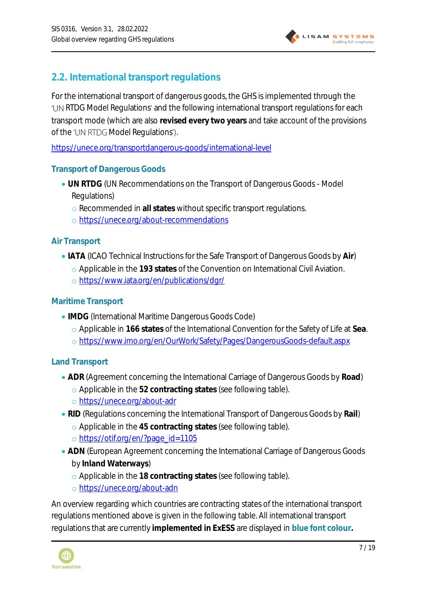

### <span id="page-6-0"></span>**2.2. International transport regulations**

For the international transport of dangerous goods, the GHS is implemented through the 'UN RTDG Model Regulations' and the following international transport regulations for each transport mode (which are also **revised every two years** and take account of the provisions of the 'UN RTDG Model Regulations').

<https://unece.org/transportdangerous-goods/international-level>

#### <span id="page-6-1"></span>**Transport of Dangerous Goods**

- **UN RTDG** (UN Recommendations on the Transport of Dangerous Goods Model Regulations)
	- o Recommended in **all states** without specific transport regulations.
	- o <https://unece.org/about-recommendations>

#### <span id="page-6-2"></span>**Air Transport**

- **IATA** (ICAO Technical Instructions for the Safe Transport of Dangerous Goods by **Air**)
	- o Applicable in the **193 states** of the Convention on International Civil Aviation.
	- o <https://www.iata.org/en/publications/dgr/>

#### <span id="page-6-3"></span>**Maritime Transport**

- **IMDG** (International Maritime Dangerous Goods Code)
	- o Applicable in **166 states** of the International Convention for the Safety of Life at **Sea**.
	- o <https://www.imo.org/en/OurWork/Safety/Pages/DangerousGoods-default.aspx>

#### <span id="page-6-4"></span>**Land Transport**

- **ADR** (Agreement concerning the International Carriage of Dangerous Goods by **Road**)
	- o Applicable in the **52 contracting states** (see following table).
	- o <https://unece.org/about-adr>
- **RID** (Regulations concerning the International Transport of Dangerous Goods by **Rail**)
	- o Applicable in the **45 contracting states** (see following table).
	- o [https://otif.org/en/?page\\_id=1105](https://otif.org/en/?page_id=1105)
- **ADN** (European Agreement concerning the International Carriage of Dangerous Goods by **Inland Waterways**)
	- o Applicable in the **18 contracting states** (see following table).
	- o <https://unece.org/about-adn>

An overview regarding which countries are contracting states of the international transport regulations mentioned above is given in the following table. All international transport regulations that are currently **implemented in ExESS** are displayed in **blue font colour.**

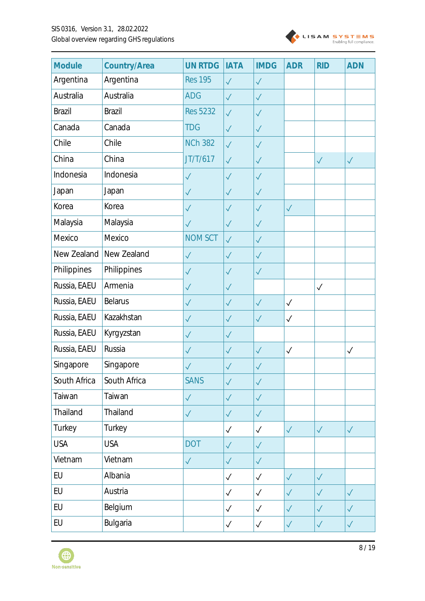

| Module        | Country/Area   | <b>UN RTDG</b>  | <b>IATA</b>  | <b>IMDG</b>  | <b>ADR</b>   | <b>RID</b>   | <b>ADN</b>   |
|---------------|----------------|-----------------|--------------|--------------|--------------|--------------|--------------|
| Argentina     | Argentina      | <b>Res 195</b>  | $\checkmark$ | $\checkmark$ |              |              |              |
| Australia     | Australia      | <b>ADG</b>      | $\sqrt{}$    | $\checkmark$ |              |              |              |
| <b>Brazil</b> | <b>Brazil</b>  | <b>Res 5232</b> | $\checkmark$ | $\checkmark$ |              |              |              |
| Canada        | Canada         | <b>TDG</b>      | $\checkmark$ | $\checkmark$ |              |              |              |
| Chile         | Chile          | <b>NCh 382</b>  | $\checkmark$ | $\checkmark$ |              |              |              |
| China         | China          | JT/T/617        | $\checkmark$ | $\checkmark$ |              | $\checkmark$ | $\checkmark$ |
| Indonesia     | Indonesia      | $\checkmark$    | $\checkmark$ | $\checkmark$ |              |              |              |
| Japan         | Japan          | $\checkmark$    | $\checkmark$ | $\checkmark$ |              |              |              |
| Korea         | Korea          | $\checkmark$    | $\checkmark$ | $\checkmark$ | $\checkmark$ |              |              |
| Malaysia      | Malaysia       | $\checkmark$    | $\checkmark$ | $\sqrt{}$    |              |              |              |
| Mexico        | Mexico         | <b>NOM SCT</b>  | $\checkmark$ | $\checkmark$ |              |              |              |
| New Zealand   | New Zealand    | $\sqrt{}$       | $\checkmark$ | $\sqrt{}$    |              |              |              |
| Philippines   | Philippines    | $\checkmark$    | $\checkmark$ | $\checkmark$ |              |              |              |
| Russia, EAEU  | Armenia        | $\sqrt{}$       | $\checkmark$ |              |              | $\checkmark$ |              |
| Russia, EAEU  | <b>Belarus</b> | $\checkmark$    | $\checkmark$ | $\checkmark$ | $\checkmark$ |              |              |
| Russia, EAEU  | Kazakhstan     | $\checkmark$    | $\checkmark$ | $\checkmark$ | $\checkmark$ |              |              |
| Russia, EAEU  | Kyrgyzstan     | $\checkmark$    | $\checkmark$ |              |              |              |              |
| Russia, EAEU  | Russia         | $\checkmark$    | $\sqrt{}$    | $\checkmark$ | $\checkmark$ |              | $\checkmark$ |
| Singapore     | Singapore      | $\checkmark$    | $\sqrt{}$    | $\sqrt{}$    |              |              |              |
| South Africa  | South Africa   | <b>SANS</b>     | $\checkmark$ | $\checkmark$ |              |              |              |
| Taiwan        | Taiwan         | $\sqrt{}$       | $\checkmark$ | $\sqrt{}$    |              |              |              |
| Thailand      | Thailand       | $\checkmark$    | $\checkmark$ | $\checkmark$ |              |              |              |
| Turkey        | Turkey         |                 | $\checkmark$ | $\checkmark$ | $\checkmark$ | $\checkmark$ | $\checkmark$ |
| <b>USA</b>    | <b>USA</b>     | <b>DOT</b>      | $\checkmark$ | $\checkmark$ |              |              |              |
| Vietnam       | Vietnam        | $\checkmark$    | $\checkmark$ | $\sqrt{}$    |              |              |              |
| EU            | Albania        |                 | $\checkmark$ | $\checkmark$ | $\checkmark$ | $\checkmark$ |              |
| EU            | Austria        |                 | $\checkmark$ | $\checkmark$ | $\checkmark$ | $\checkmark$ | $\checkmark$ |
| EU            | Belgium        |                 | $\checkmark$ | $\checkmark$ | $\checkmark$ | $\checkmark$ | $\checkmark$ |
| EU            | Bulgaria       |                 | $\checkmark$ | $\checkmark$ | $\checkmark$ | $\checkmark$ | $\checkmark$ |

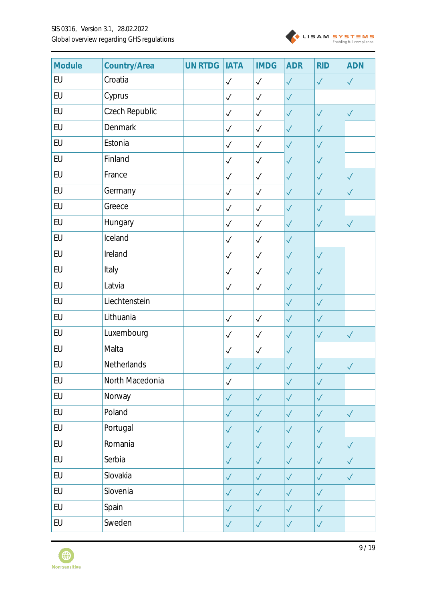

| Module | Country/Area    | <b>UN RTDG</b> | <b>IATA</b>  | <b>IMDG</b>  | <b>ADR</b>   | <b>RID</b>   | <b>ADN</b>   |
|--------|-----------------|----------------|--------------|--------------|--------------|--------------|--------------|
| EU     | Croatia         |                | $\checkmark$ | $\checkmark$ | $\checkmark$ | $\checkmark$ | $\checkmark$ |
| EU     | Cyprus          |                | $\checkmark$ | $\checkmark$ | $\sqrt{}$    |              |              |
| EU     | Czech Republic  |                | $\checkmark$ | $\checkmark$ | $\sqrt{}$    | $\sqrt{}$    | $\checkmark$ |
| EU     | Denmark         |                | $\checkmark$ | $\checkmark$ | $\checkmark$ | $\sqrt{}$    |              |
| EU     | Estonia         |                | $\checkmark$ | $\checkmark$ | $\sqrt{}$    | $\sqrt{}$    |              |
| EU     | Finland         |                | $\checkmark$ | $\checkmark$ | $\sqrt{}$    | $\checkmark$ |              |
| EU     | France          |                | $\checkmark$ | $\checkmark$ | $\checkmark$ | $\sqrt{}$    | $\checkmark$ |
| EU     | Germany         |                | $\checkmark$ | $\checkmark$ | $\checkmark$ | $\sqrt{}$    | $\sqrt{}$    |
| EU     | Greece          |                | $\checkmark$ | $\checkmark$ | $\checkmark$ | $\sqrt{}$    |              |
| EU     | Hungary         |                | $\checkmark$ | $\checkmark$ | $\checkmark$ | $\checkmark$ | $\checkmark$ |
| EU     | Iceland         |                | $\checkmark$ | $\checkmark$ | $\checkmark$ |              |              |
| EU     | Ireland         |                | $\checkmark$ | $\checkmark$ | $\sqrt{}$    | $\sqrt{}$    |              |
| EU     | Italy           |                | $\checkmark$ | $\checkmark$ | $\sqrt{}$    | $\sqrt{}$    |              |
| EU     | Latvia          |                | $\checkmark$ | $\checkmark$ | $\sqrt{}$    | $\sqrt{}$    |              |
| EU     | Liechtenstein   |                |              |              | $\checkmark$ | $\sqrt{}$    |              |
| EU     | Lithuania       |                | $\checkmark$ | $\checkmark$ | $\sqrt{}$    | $\sqrt{}$    |              |
| EU     | Luxembourg      |                | $\checkmark$ | $\checkmark$ | $\checkmark$ | $\sqrt{}$    | $\checkmark$ |
| EU     | Malta           |                | $\checkmark$ | $\checkmark$ | $\checkmark$ |              |              |
| EU     | Netherlands     |                | $\sqrt{}$    | $\checkmark$ | $\sqrt{}$    | $\sqrt{}$    | $\sqrt{}$    |
| EU     | North Macedonia |                | $\checkmark$ |              | $\checkmark$ | $\checkmark$ |              |
| EU     | Norway          |                | $\sqrt{}$    | $\sqrt{}$    | $\sqrt{}$    | $\checkmark$ |              |
| EU     | Poland          |                | $\checkmark$ | $\checkmark$ | $\checkmark$ | $\checkmark$ | $\checkmark$ |
| EU     | Portugal        |                | $\checkmark$ | $\checkmark$ | $\checkmark$ | $\checkmark$ |              |
| EU     | Romania         |                | $\checkmark$ | $\checkmark$ | $\checkmark$ | $\checkmark$ | $\checkmark$ |
| EU     | Serbia          |                | $\sqrt{}$    | $\checkmark$ | $\sqrt{}$    | $\checkmark$ | $\checkmark$ |
| EU     | Slovakia        |                | $\checkmark$ | $\checkmark$ | $\checkmark$ | $\checkmark$ | $\checkmark$ |
| EU     | Slovenia        |                | $\sqrt{}$    | $\checkmark$ | $\checkmark$ | $\checkmark$ |              |
| EU     | Spain           |                | $\checkmark$ | $\checkmark$ | $\checkmark$ | $\checkmark$ |              |
| EU     | Sweden          |                | $\sqrt{}$    | $\checkmark$ | $\sqrt{}$    | $\checkmark$ |              |

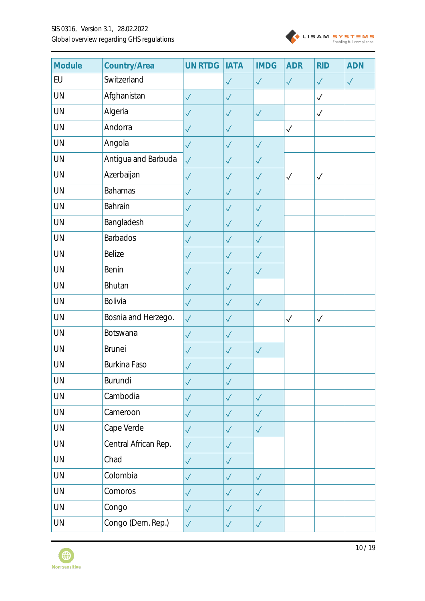

| Module    | Country/Area         | <b>UN RTDG</b> | <b>IATA</b>  | <b>IMDG</b>  | <b>ADR</b>   | <b>RID</b>   | <b>ADN</b>   |
|-----------|----------------------|----------------|--------------|--------------|--------------|--------------|--------------|
| EU        | Switzerland          |                | $\sqrt{}$    | $\sqrt{}$    | $\checkmark$ | $\checkmark$ | $\checkmark$ |
| UN        | Afghanistan          | $\checkmark$   | $\checkmark$ |              |              | $\checkmark$ |              |
| UN        | Algeria              | $\checkmark$   | $\checkmark$ | $\checkmark$ |              | $\checkmark$ |              |
| UN        | Andorra              | $\checkmark$   | $\checkmark$ |              | $\checkmark$ |              |              |
| <b>UN</b> | Angola               | $\checkmark$   | $\sqrt{}$    | $\sqrt{}$    |              |              |              |
| UN        | Antigua and Barbuda  | $\sqrt{}$      | $\checkmark$ | $\checkmark$ |              |              |              |
| <b>UN</b> | Azerbaijan           | $\checkmark$   | $\checkmark$ | $\checkmark$ | $\checkmark$ | $\checkmark$ |              |
| UN        | <b>Bahamas</b>       | $\checkmark$   | $\checkmark$ | $\checkmark$ |              |              |              |
| UN        | Bahrain              | $\checkmark$   | $\checkmark$ | $\checkmark$ |              |              |              |
| <b>UN</b> | Bangladesh           | $\checkmark$   | $\checkmark$ | $\checkmark$ |              |              |              |
| UN        | <b>Barbados</b>      | $\checkmark$   | $\checkmark$ | $\sqrt{}$    |              |              |              |
| UN        | Belize               | $\checkmark$   | $\sqrt{}$    | $\sqrt{}$    |              |              |              |
| UN        | Benin                | $\checkmark$   | $\checkmark$ | $\sqrt{}$    |              |              |              |
| UN        | <b>Bhutan</b>        | $\checkmark$   | $\sqrt{}$    |              |              |              |              |
| UN        | Bolivia              | $\checkmark$   | $\checkmark$ | $\checkmark$ |              |              |              |
| UN        | Bosnia and Herzego.  | $\checkmark$   | $\checkmark$ |              | $\checkmark$ | $\checkmark$ |              |
| UN        | Botswana             | $\sqrt{}$      | $\checkmark$ |              |              |              |              |
| UN        | <b>Brunei</b>        | $\checkmark$   | $\sqrt{}$    | $\sqrt{}$    |              |              |              |
| UN        | Burkina Faso         | $\sqrt{}$      | $\sqrt{}$    |              |              |              |              |
| UN        | Burundi              | $\checkmark$   | $\sqrt{}$    |              |              |              |              |
| UN        | Cambodia             | $\checkmark$   | $\checkmark$ | $\checkmark$ |              |              |              |
| UN        | Cameroon             | $\checkmark$   | $\checkmark$ | $\checkmark$ |              |              |              |
| UN        | Cape Verde           | $\checkmark$   | $\checkmark$ | $\checkmark$ |              |              |              |
| UN        | Central African Rep. | $\checkmark$   | $\sqrt{}$    |              |              |              |              |
| UN        | Chad                 | $\sqrt{}$      | $\checkmark$ |              |              |              |              |
| UN        | Colombia             | $\checkmark$   | $\checkmark$ | $\sqrt{}$    |              |              |              |
| UN        | Comoros              | $\checkmark$   | $\checkmark$ | $\checkmark$ |              |              |              |
| <b>UN</b> | Congo                | $\checkmark$   | $\checkmark$ | $\checkmark$ |              |              |              |
| UN        | Congo (Dem. Rep.)    | $\checkmark$   | $\checkmark$ | $\sqrt{}$    |              |              |              |

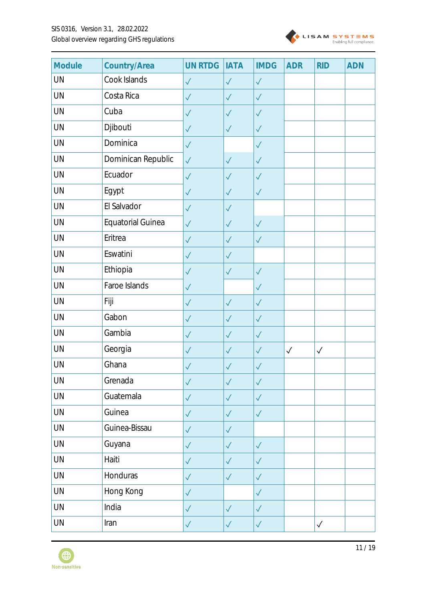

| Module | Country/Area             | <b>UN RTDG</b> | <b>IATA</b>  | <b>IMDG</b>  | <b>ADR</b>   | <b>RID</b>   | <b>ADN</b> |
|--------|--------------------------|----------------|--------------|--------------|--------------|--------------|------------|
| UN     | Cook Islands             | $\checkmark$   | $\checkmark$ | $\checkmark$ |              |              |            |
| UN     | Costa Rica               | $\checkmark$   | $\checkmark$ | $\sqrt{}$    |              |              |            |
| UN     | Cuba                     | $\checkmark$   | $\sqrt{}$    | $\sqrt{}$    |              |              |            |
| UN     | Djibouti                 | $\checkmark$   | $\checkmark$ | $\checkmark$ |              |              |            |
| UN     | Dominica                 | $\checkmark$   |              | $\sqrt{}$    |              |              |            |
| UN     | Dominican Republic       | $\checkmark$   | $\sqrt{}$    | $\checkmark$ |              |              |            |
| UN     | Ecuador                  | $\checkmark$   | $\checkmark$ | $\sqrt{}$    |              |              |            |
| UN     | Egypt                    | $\checkmark$   | $\sqrt{}$    | $\sqrt{}$    |              |              |            |
| UN     | El Salvador              | $\checkmark$   | $\checkmark$ |              |              |              |            |
| UN     | <b>Equatorial Guinea</b> | $\checkmark$   | $\checkmark$ | $\sqrt{}$    |              |              |            |
| UN     | Eritrea                  | $\checkmark$   | $\checkmark$ | $\sqrt{}$    |              |              |            |
| UN     | Eswatini                 | $\checkmark$   | $\checkmark$ |              |              |              |            |
| UN     | Ethiopia                 | $\checkmark$   | $\checkmark$ | $\sqrt{}$    |              |              |            |
| UN     | Faroe Islands            | $\checkmark$   |              | $\sqrt{}$    |              |              |            |
| UN     | Fiji                     | $\checkmark$   | $\sqrt{}$    | $\sqrt{}$    |              |              |            |
| UN     | Gabon                    | $\checkmark$   | $\sqrt{}$    | $\sqrt{}$    |              |              |            |
| UN     | Gambia                   | $\checkmark$   | $\sqrt{}$    | $\sqrt{}$    |              |              |            |
| UN     | Georgia                  | $\checkmark$   | $\sqrt{}$    | $\checkmark$ | $\checkmark$ | $\checkmark$ |            |
| UN     | Ghana                    | $\checkmark$   | $\sqrt{}$    | $\sqrt{}$    |              |              |            |
| UN     | Grenada                  | $\sqrt{}$      | $\checkmark$ | $\sqrt{}$    |              |              |            |
| UN     | Guatemala                | $\sqrt{}$      | $\checkmark$ | $\checkmark$ |              |              |            |
| UN     | Guinea                   | $\checkmark$   | $\checkmark$ | $\checkmark$ |              |              |            |
| UN     | Guinea-Bissau            | $\checkmark$   | $\checkmark$ |              |              |              |            |
| UN     | Guyana                   | $\sqrt{}$      | $\sqrt{}$    | $\checkmark$ |              |              |            |
| UN     | Haiti                    | $\checkmark$   | $\checkmark$ | $\checkmark$ |              |              |            |
| UN     | Honduras                 | $\checkmark$   | $\checkmark$ | $\checkmark$ |              |              |            |
| UN     | Hong Kong                | $\sqrt{}$      |              | $\sqrt{}$    |              |              |            |
| UN     | India                    | $\sqrt{}$      | $\checkmark$ | $\checkmark$ |              |              |            |
| UN     | Iran                     | $\checkmark$   | $\checkmark$ | $\checkmark$ |              | $\checkmark$ |            |

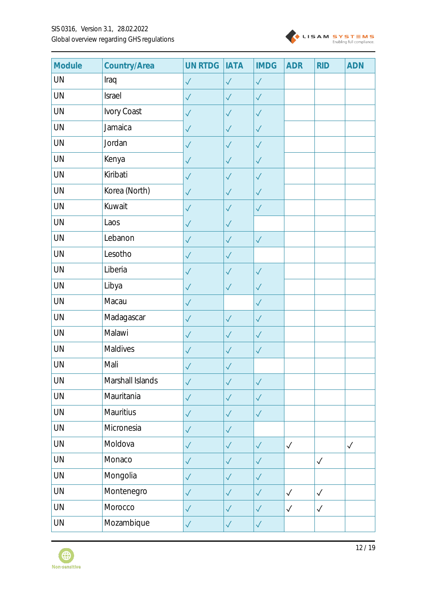

| Module    | Country/Area     | <b>UN RTDG</b> | <b>IATA</b>  | <b>IMDG</b>  | <b>ADR</b>   | <b>RID</b>   | <b>ADN</b>   |
|-----------|------------------|----------------|--------------|--------------|--------------|--------------|--------------|
| UN        | Iraq             | $\checkmark$   | $\checkmark$ | $\sqrt{}$    |              |              |              |
| UN        | Israel           | $\checkmark$   | $\sqrt{}$    | $\sqrt{}$    |              |              |              |
| UN        | Ivory Coast      | $\checkmark$   | $\sqrt{}$    | $\sqrt{}$    |              |              |              |
| UN        | Jamaica          | $\checkmark$   | $\sqrt{}$    | $\sqrt{}$    |              |              |              |
| UN        | Jordan           | $\checkmark$   | $\checkmark$ | $\sqrt{}$    |              |              |              |
| UN        | Kenya            | $\checkmark$   | $\checkmark$ | $\sqrt{}$    |              |              |              |
| UN        | Kiribati         | $\checkmark$   | $\sqrt{}$    | $\checkmark$ |              |              |              |
| UN        | Korea (North)    | $\sqrt{}$      | $\sqrt{}$    | $\sqrt{}$    |              |              |              |
| UN        | Kuwait           | $\checkmark$   | $\sqrt{}$    | $\sqrt{}$    |              |              |              |
| UN        | Laos             | $\checkmark$   | $\checkmark$ |              |              |              |              |
| UN        | Lebanon          | $\checkmark$   | $\checkmark$ | $\checkmark$ |              |              |              |
| UN        | Lesotho          | $\checkmark$   | $\checkmark$ |              |              |              |              |
| UN        | Liberia          | $\sqrt{}$      | $\sqrt{}$    | $\sqrt{}$    |              |              |              |
| UN        | Libya            | $\checkmark$   | $\checkmark$ | $\checkmark$ |              |              |              |
| UN        | Macau            | $\checkmark$   |              | $\sqrt{}$    |              |              |              |
| UN        | Madagascar       | $\checkmark$   | $\checkmark$ | $\sqrt{}$    |              |              |              |
| UN        | Malawi           | $\checkmark$   | $\sqrt{}$    | $\sqrt{}$    |              |              |              |
| UN        | Maldives         | $\checkmark$   | $\checkmark$ | $\sqrt{}$    |              |              |              |
| UN        | Mali             | $\checkmark$   | $\sqrt{}$    |              |              |              |              |
| UN        | Marshall Islands | $\checkmark$   | $\sqrt{}$    | $\checkmark$ |              |              |              |
| UN        | Mauritania       | $\checkmark$   | $\sqrt{}$    | $\sqrt{}$    |              |              |              |
| <b>UN</b> | Mauritius        | $\checkmark$   | $\checkmark$ | $\checkmark$ |              |              |              |
| UN        | Micronesia       | $\checkmark$   | $\sqrt{}$    |              |              |              |              |
| UN        | Moldova          | $\checkmark$   | $\checkmark$ | $\checkmark$ | $\checkmark$ |              | $\checkmark$ |
| UN        | Monaco           | $\checkmark$   | $\checkmark$ | $\sqrt{}$    |              | $\checkmark$ |              |
| UN        | Mongolia         | $\checkmark$   | $\checkmark$ | $\checkmark$ |              |              |              |
| UN        | Montenegro       | $\checkmark$   | $\sqrt{}$    | $\checkmark$ | $\checkmark$ | $\checkmark$ |              |
| UN        | Morocco          | $\sqrt{}$      | $\checkmark$ | $\checkmark$ | $\checkmark$ | $\checkmark$ |              |
| UN        | Mozambique       | $\sqrt{}$      | $\checkmark$ | $\checkmark$ |              |              |              |

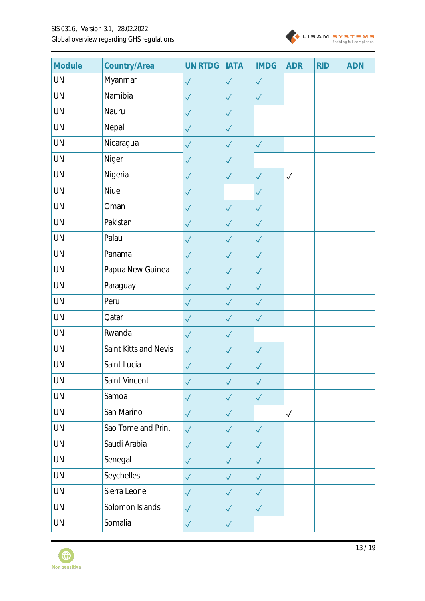

| Module    | Country/Area          | <b>UN RTDG</b> | <b>IATA</b>  | <b>IMDG</b>  | <b>ADR</b>   | <b>RID</b> | <b>ADN</b> |
|-----------|-----------------------|----------------|--------------|--------------|--------------|------------|------------|
| UN        | Myanmar               | $\checkmark$   | $\sqrt{}$    | $\sqrt{}$    |              |            |            |
| UN        | Namibia               | $\checkmark$   | $\checkmark$ | $\checkmark$ |              |            |            |
| UN        | Nauru                 | $\checkmark$   | $\checkmark$ |              |              |            |            |
| UN        | Nepal                 | $\checkmark$   | $\checkmark$ |              |              |            |            |
| UN        | Nicaragua             | $\checkmark$   | $\checkmark$ | $\sqrt{}$    |              |            |            |
| UN        | Niger                 | $\checkmark$   | $\checkmark$ |              |              |            |            |
| <b>UN</b> | Nigeria               | $\checkmark$   | $\checkmark$ | $\checkmark$ | $\checkmark$ |            |            |
| UN        | Niue                  | $\checkmark$   |              | $\checkmark$ |              |            |            |
| UN        | Oman                  | $\sqrt{}$      | $\checkmark$ | $\checkmark$ |              |            |            |
| <b>UN</b> | Pakistan              | $\checkmark$   | $\checkmark$ | $\checkmark$ |              |            |            |
| UN        | Palau                 | $\checkmark$   | $\sqrt{}$    | $\sqrt{}$    |              |            |            |
| UN        | Panama                | $\checkmark$   | $\sqrt{}$    | $\sqrt{}$    |              |            |            |
| UN        | Papua New Guinea      | $\sqrt{}$      | $\checkmark$ | $\checkmark$ |              |            |            |
| UN        | Paraguay              | $\checkmark$   | $\sqrt{}$    | $\sqrt{}$    |              |            |            |
| UN        | Peru                  | $\checkmark$   | $\checkmark$ | $\checkmark$ |              |            |            |
| UN        | Qatar                 | $\sqrt{}$      | $\checkmark$ | $\sqrt{}$    |              |            |            |
| UN        | Rwanda                | $\checkmark$   | $\checkmark$ |              |              |            |            |
| UN        | Saint Kitts and Nevis | $\checkmark$   | $\sqrt{}$    | $\sqrt{}$    |              |            |            |
| UN        | Saint Lucia           | $\checkmark$   | $\sqrt{}$    | $\checkmark$ |              |            |            |
| UN        | Saint Vincent         | $\checkmark$   | $\checkmark$ | $\sqrt{}$    |              |            |            |
| <b>UN</b> | Samoa                 | $\checkmark$   | $\checkmark$ | $\checkmark$ |              |            |            |
| UN        | San Marino            | $\checkmark$   | $\checkmark$ |              | $\checkmark$ |            |            |
| UN        | Sao Tome and Prin.    | $\sqrt{}$      | $\checkmark$ | $\checkmark$ |              |            |            |
| UN        | Saudi Arabia          | $\checkmark$   | $\sqrt{}$    | $\checkmark$ |              |            |            |
| UN        | Senegal               | $\sqrt{}$      | $\sqrt{}$    | $\sqrt{}$    |              |            |            |
| UN        | Seychelles            | $\checkmark$   | $\checkmark$ | $\sqrt{}$    |              |            |            |
| UN        | Sierra Leone          | $\checkmark$   | $\checkmark$ | $\sqrt{}$    |              |            |            |
| <b>UN</b> | Solomon Islands       | $\checkmark$   | $\checkmark$ | $\checkmark$ |              |            |            |
| UN        | Somalia               | $\checkmark$   | $\checkmark$ |              |              |            |            |

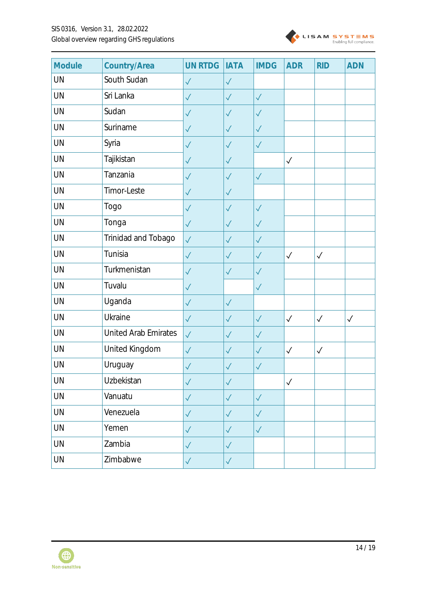

| Module    | Country/Area         | <b>UN RTDG</b> | <b>IATA</b>  | <b>IMDG</b>  | <b>ADR</b>   | <b>RID</b>   | <b>ADN</b>   |
|-----------|----------------------|----------------|--------------|--------------|--------------|--------------|--------------|
| UN        | South Sudan          | $\checkmark$   | $\sqrt{}$    |              |              |              |              |
| UN        | Sri Lanka            | $\sqrt{}$      | $\sqrt{}$    | $\checkmark$ |              |              |              |
| UN        | Sudan                | $\sqrt{}$      | $\sqrt{}$    | $\checkmark$ |              |              |              |
| <b>UN</b> | Suriname             | $\sqrt{}$      | $\checkmark$ | $\checkmark$ |              |              |              |
| UN        | Syria                | $\checkmark$   | $\checkmark$ | $\checkmark$ |              |              |              |
| UN        | Tajikistan           | $\sqrt{}$      | $\sqrt{}$    |              | $\checkmark$ |              |              |
| UN        | Tanzania             | $\checkmark$   | $\checkmark$ | $\checkmark$ |              |              |              |
| UN        | Timor-Leste          | $\sqrt{}$      | $\checkmark$ |              |              |              |              |
| <b>UN</b> | Togo                 | $\checkmark$   | $\checkmark$ | $\sqrt{}$    |              |              |              |
| UN        | Tonga                | $\checkmark$   | $\checkmark$ | $\checkmark$ |              |              |              |
| <b>UN</b> | Trinidad and Tobago  | $\checkmark$   | $\checkmark$ | $\sqrt{}$    |              |              |              |
| UN        | Tunisia              | $\checkmark$   | $\checkmark$ | $\sqrt{}$    | $\checkmark$ | $\checkmark$ |              |
| UN        | Turkmenistan         | $\sqrt{}$      | $\sqrt{}$    | $\sqrt{}$    |              |              |              |
| UN        | Tuvalu               | $\checkmark$   |              | $\checkmark$ |              |              |              |
| <b>UN</b> | Uganda               | $\checkmark$   | $\sqrt{}$    |              |              |              |              |
| UN        | Ukraine              | $\sqrt{}$      | $\sqrt{}$    | $\checkmark$ | $\checkmark$ | $\checkmark$ | $\checkmark$ |
| UN        | United Arab Emirates | $\sqrt{}$      | $\checkmark$ | $\checkmark$ |              |              |              |
| UN        | United Kingdom       | $\checkmark$   | $\checkmark$ | $\sqrt{}$    | $\checkmark$ | $\checkmark$ |              |
| UN        | Uruguay              | $\checkmark$   | $\sqrt{}$    | $\checkmark$ |              |              |              |
| UN        | Uzbekistan           | $\checkmark$   | $\checkmark$ |              | $\checkmark$ |              |              |
| UN        | Vanuatu              | $\checkmark$   | $\checkmark$ | $\checkmark$ |              |              |              |
| <b>UN</b> | Venezuela            | $\checkmark$   | $\checkmark$ | $\checkmark$ |              |              |              |
| UN        | Yemen                | $\checkmark$   | $\checkmark$ | $\checkmark$ |              |              |              |
| UN        | Zambia               | $\checkmark$   | $\checkmark$ |              |              |              |              |
| UN        | Zimbabwe             | $\checkmark$   | $\sqrt{}$    |              |              |              |              |

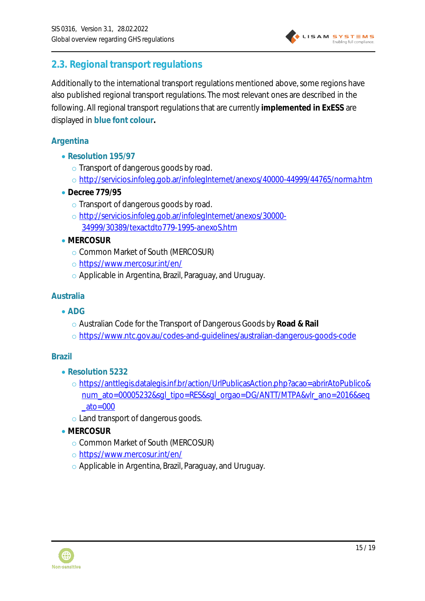

### <span id="page-14-0"></span>**2.3. Regional transport regulations**

Additionally to the international transport regulations mentioned above, some regions have also published regional transport regulations. The most relevant ones are described in the following. All regional transport regulations that are currently **implemented in ExESS** are displayed in **blue font colour.**

#### <span id="page-14-1"></span>**Argentina**

- **Resolution 195/97**
	- o Transport of dangerous goods by road.
	- o <http://servicios.infoleg.gob.ar/infolegInternet/anexos/40000-44999/44765/norma.htm>
- **Decree 779/95**
	- o Transport of dangerous goods by road.
	- o [http://servicios.infoleg.gob.ar/infolegInternet/anexos/30000-](http://servicios.infoleg.gob.ar/infolegInternet/anexos/30000-34999/30389/texactdto779-1995-anexoS.htm) [34999/30389/texactdto779-1995-anexoS.htm](http://servicios.infoleg.gob.ar/infolegInternet/anexos/30000-34999/30389/texactdto779-1995-anexoS.htm)
- **MERCOSUR**
	- o Common Market of South (MERCOSUR)
	- o <https://www.mercosur.int/en/>
	- o Applicable in Argentina, Brazil, Paraguay, and Uruguay.

#### <span id="page-14-2"></span>**Australia**

- **ADG**
	- o Australian Code for the Transport of Dangerous Goods by **Road & Rail**
	- o <https://www.ntc.gov.au/codes-and-guidelines/australian-dangerous-goods-code>

#### <span id="page-14-3"></span>**Brazil**

- **Resolution 5232**
	- o [https://anttlegis.datalegis.inf.br/action/UrlPublicasAction.php?acao=abrirAtoPublico&](https://anttlegis.datalegis.inf.br/action/UrlPublicasAction.php?acao=abrirAtoPublico&num_ato=00005232&sgl_tipo=RES&sgl_orgao=DG/ANTT/MTPA&vlr_ano=2016&seq_ato=000) [num\\_ato=00005232&sgl\\_tipo=RES&sgl\\_orgao=DG/ANTT/MTPA&vlr\\_ano=2016&seq](https://anttlegis.datalegis.inf.br/action/UrlPublicasAction.php?acao=abrirAtoPublico&num_ato=00005232&sgl_tipo=RES&sgl_orgao=DG/ANTT/MTPA&vlr_ano=2016&seq_ato=000)  $ato = 000$
	- o Land transport of dangerous goods.
- **MERCOSUR**
	- o Common Market of South (MERCOSUR)
	- o <https://www.mercosur.int/en/>
	- o Applicable in Argentina, Brazil, Paraguay, and Uruguay.

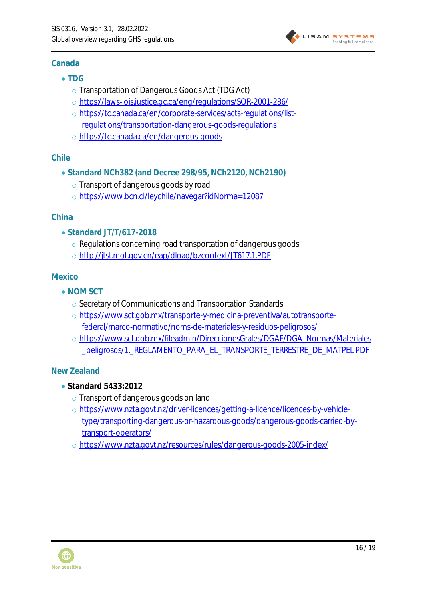#### <span id="page-15-0"></span>**Canada**

- **TDG**
	- o Transportation of Dangerous Goods Act (TDG Act)
	- o <https://laws-lois.justice.gc.ca/eng/regulations/SOR-2001-286/>
	- o [https://tc.canada.ca/en/corporate-services/acts-regulations/list](https://tc.canada.ca/en/corporate-services/acts-regulations/list-regulations/transportation-dangerous-goods-regulations)[regulations/transportation-dangerous-goods-regulations](https://tc.canada.ca/en/corporate-services/acts-regulations/list-regulations/transportation-dangerous-goods-regulations)
	- o <https://tc.canada.ca/en/dangerous-goods>

#### <span id="page-15-1"></span>**Chile**

- **Standard NCh382 (and Decree 298/95, NCh2120, NCh2190)**
	- o Transport of dangerous goods by road
	- o <https://www.bcn.cl/leychile/navegar?idNorma=12087>

#### <span id="page-15-2"></span>**China**

- **Standard JT/T/617-2018**
	- o Regulations concerning road transportation of dangerous goods
	- o <http://jtst.mot.gov.cn/eap/dload/bzcontext/JT617.1.PDF>

#### <span id="page-15-3"></span>**Mexico**

- **NOM SCT**
	- o Secretary of Communications and Transportation Standards
	- o [https://www.sct.gob.mx/transporte-y-medicina-preventiva/autotransporte](https://www.sct.gob.mx/transporte-y-medicina-preventiva/autotransporte-federal/marco-normativo/noms-de-materiales-y-residuos-peligrosos/)[federal/marco-normativo/noms-de-materiales-y-residuos-peligrosos/](https://www.sct.gob.mx/transporte-y-medicina-preventiva/autotransporte-federal/marco-normativo/noms-de-materiales-y-residuos-peligrosos/)
	- o [https://www.sct.gob.mx/fileadmin/DireccionesGrales/DGAF/DGA\\_Normas/Materiales](https://www.sct.gob.mx/fileadmin/DireccionesGrales/DGAF/DGA_Normas/Materiales_peligrosos/1._REGLAMENTO_PARA_EL_TRANSPORTE_TERRESTRE_DE_MATPEL.PDF) [\\_peligrosos/1.\\_REGLAMENTO\\_PARA\\_EL\\_TRANSPORTE\\_TERRESTRE\\_DE\\_MATPEL.PDF](https://www.sct.gob.mx/fileadmin/DireccionesGrales/DGAF/DGA_Normas/Materiales_peligrosos/1._REGLAMENTO_PARA_EL_TRANSPORTE_TERRESTRE_DE_MATPEL.PDF)

#### <span id="page-15-4"></span>**New Zealand**

- **Standard 5433:2012**
	- o Transport of dangerous goods on land
	- o [https://www.nzta.govt.nz/driver-licences/getting-a-licence/licences-by-vehicle](https://www.nzta.govt.nz/driver-licences/getting-a-licence/licences-by-vehicle-type/transporting-dangerous-or-hazardous-goods/dangerous-goods-carried-by-transport-operators/)[type/transporting-dangerous-or-hazardous-goods/dangerous-goods-carried-by](https://www.nzta.govt.nz/driver-licences/getting-a-licence/licences-by-vehicle-type/transporting-dangerous-or-hazardous-goods/dangerous-goods-carried-by-transport-operators/)[transport-operators/](https://www.nzta.govt.nz/driver-licences/getting-a-licence/licences-by-vehicle-type/transporting-dangerous-or-hazardous-goods/dangerous-goods-carried-by-transport-operators/)
	- o <https://www.nzta.govt.nz/resources/rules/dangerous-goods-2005-index/>



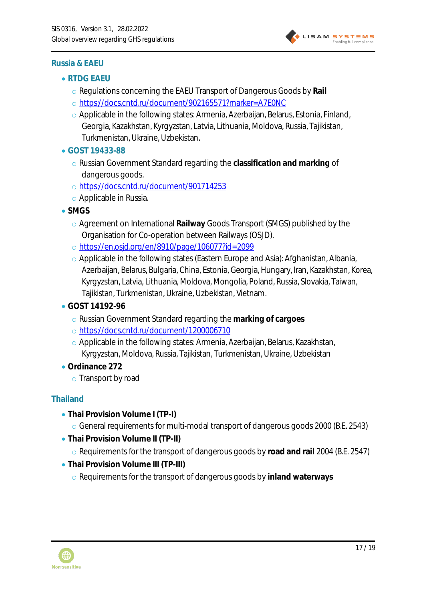

#### <span id="page-16-0"></span>**Russia & EAEU**

- **RTDG EAEU**
	- o Regulations concerning the EAEU Transport of Dangerous Goods by **Rail**
	- o <https://docs.cntd.ru/document/902165571?marker=A7E0NC>
	- o Applicable in the following states: Armenia, Azerbaijan, Belarus, Estonia, Finland, Georgia, Kazakhstan, Kyrgyzstan, Latvia, Lithuania, Moldova, Russia, Tajikistan, Turkmenistan, Ukraine, Uzbekistan.
- **GOST 19433-88**
	- o Russian Government Standard regarding the **classification and marking** of dangerous goods.
	- o <https://docs.cntd.ru/document/901714253>
	- o Applicable in Russia.
- **SMGS**
	- o Agreement on International **Railway** Goods Transport (SMGS) published by the Organisation for Co-operation between Railways (OSJD).
	- o <https://en.osjd.org/en/8910/page/106077?id=2099>
	- o Applicable in the following states (Eastern Europe and Asia): Afghanistan, Albania, Azerbaijan, Belarus, Bulgaria, China, Estonia, Georgia, Hungary, Iran, Kazakhstan, Korea, Kyrgyzstan, Latvia, Lithuania, Moldova, Mongolia, Poland, Russia, Slovakia, Taiwan, Tajikistan, Turkmenistan, Ukraine, Uzbekistan, Vietnam.
- **GOST 14192-96**
	- o Russian Government Standard regarding the **marking of cargoes**
	- o <https://docs.cntd.ru/document/1200006710>
	- o Applicable in the following states: Armenia, Azerbaijan, Belarus, Kazakhstan, Kyrgyzstan, Moldova, Russia, Tajikistan, Turkmenistan, Ukraine, Uzbekistan
- **Ordinance 272**
	- o Transport by road

#### <span id="page-16-1"></span>**Thailand**

- **Thai Provision Volume I (TP-I)**
	- o General requirements for multi-modal transport of dangerous goods 2000 (B.E. 2543)
- **Thai Provision Volume II (TP-II)**
	- o Requirements for the transport of dangerous goods by **road and rail** 2004 (B.E. 2547)
- **Thai Provision Volume III (TP-III)**
	- o Requirements for the transport of dangerous goods by **inland waterways**

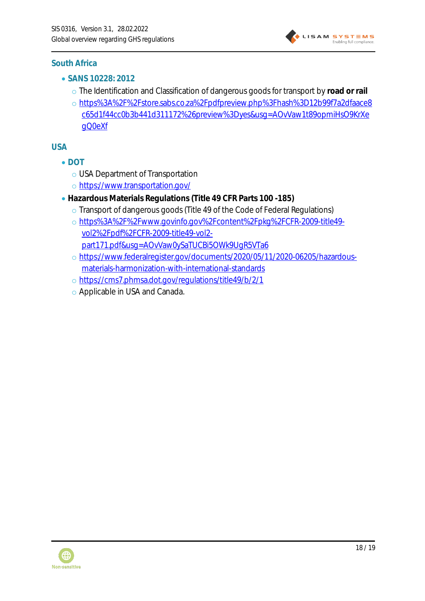

#### <span id="page-17-0"></span>**South Africa**

- **SANS 10228: 2012**
	- o The Identification and Classification of dangerous goods for transport by **road or rail**
	- o [https%3A%2F%2Fstore.sabs.co.za%2Fpdfpreview.php%3Fhash%3D12b99f7a2dfaace8](https%3A%2F%2Fstore.sabs.co.za%2Fpdfpreview.php%3Fhash%3D12b99f7a2dfaace8c65d1f44cc0b3b441d311172%26preview%3Dyes&usg=AOvVaw1t89opmiHsO9KrXegQ0eXf) [c65d1f44cc0b3b441d311172%26preview%3Dyes&usg=AOvVaw1t89opmiHsO9KrXe](https%3A%2F%2Fstore.sabs.co.za%2Fpdfpreview.php%3Fhash%3D12b99f7a2dfaace8c65d1f44cc0b3b441d311172%26preview%3Dyes&usg=AOvVaw1t89opmiHsO9KrXegQ0eXf) [gQ0eXf](https%3A%2F%2Fstore.sabs.co.za%2Fpdfpreview.php%3Fhash%3D12b99f7a2dfaace8c65d1f44cc0b3b441d311172%26preview%3Dyes&usg=AOvVaw1t89opmiHsO9KrXegQ0eXf)

<span id="page-17-1"></span>**USA**

- **DOT**
	- o USA Department of Transportation
	- o <https://www.transportation.gov/>
- **Hazardous Materials Regulations (Title 49 CFR Parts 100 -185)**
	- o Transport of dangerous goods (Title 49 of the Code of Federal Regulations)
	- o [https%3A%2F%2Fwww.govinfo.gov%2Fcontent%2Fpkg%2FCFR-2009-title49](https%3A%2F%2Fwww.govinfo.gov%2Fcontent%2Fpkg%2FCFR-2009-title49-vol2%2Fpdf%2FCFR-2009-title49-vol2-part171.pdf&usg=AOvVaw0ySaTUCBi5OWk9UgR5VTa6) [vol2%2Fpdf%2FCFR-2009-title49-vol2](https%3A%2F%2Fwww.govinfo.gov%2Fcontent%2Fpkg%2FCFR-2009-title49-vol2%2Fpdf%2FCFR-2009-title49-vol2-part171.pdf&usg=AOvVaw0ySaTUCBi5OWk9UgR5VTa6) [part171.pdf&usg=AOvVaw0ySaTUCBi5OWk9UgR5VTa6](https%3A%2F%2Fwww.govinfo.gov%2Fcontent%2Fpkg%2FCFR-2009-title49-vol2%2Fpdf%2FCFR-2009-title49-vol2-part171.pdf&usg=AOvVaw0ySaTUCBi5OWk9UgR5VTa6)
	- o [https://www.federalregister.gov/documents/2020/05/11/2020-06205/hazardous](https://www.federalregister.gov/documents/2020/05/11/2020-06205/hazardous-materials-harmonization-with-international-standards)[materials-harmonization-with-international-standards](https://www.federalregister.gov/documents/2020/05/11/2020-06205/hazardous-materials-harmonization-with-international-standards)
	- o <https://cms7.phmsa.dot.gov/regulations/title49/b/2/1>
	- o Applicable in USA and Canada.